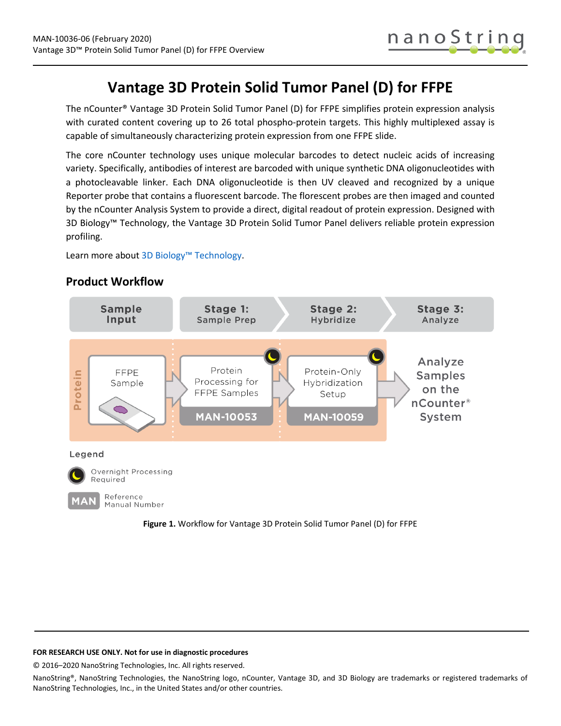

# **Vantage 3D Protein Solid Tumor Panel (D) for FFPE**

The nCounter® Vantage 3D Protein Solid Tumor Panel (D) for FFPE simplifies protein expression analysis with curated content covering up to 26 total phospho-protein targets. This highly multiplexed assay is capable of simultaneously characterizing protein expression from one FFPE slide.

The core nCounter technology uses unique molecular barcodes to detect nucleic acids of increasing variety. Specifically, antibodies of interest are barcoded with unique synthetic DNA oligonucleotides with a photocleavable linker. Each DNA oligonucleotide is then UV cleaved and recognized by a unique Reporter probe that contains a fluorescent barcode. The florescent probes are then imaged and counted by the nCounter Analysis System to provide a direct, digital readout of protein expression. Designed with 3D Biology™ Technology, the Vantage 3D Protein Solid Tumor Panel delivers reliable protein expression profiling.

Learn more abou[t 3D Biology™ Technology.](https://www.nanostring.com/scientific-content/technology-overview/3d-biology-technology)



## **Product Workflow**



### **FOR RESEARCH USE ONLY. Not for use in diagnostic procedures**

© 2016–2020 NanoString Technologies, Inc. All rights reserved.

NanoString®, NanoString Technologies, the NanoString logo, nCounter, Vantage 3D, and 3D Biology are trademarks or registered trademarks of NanoString Technologies, Inc., in the United States and/or other countries.